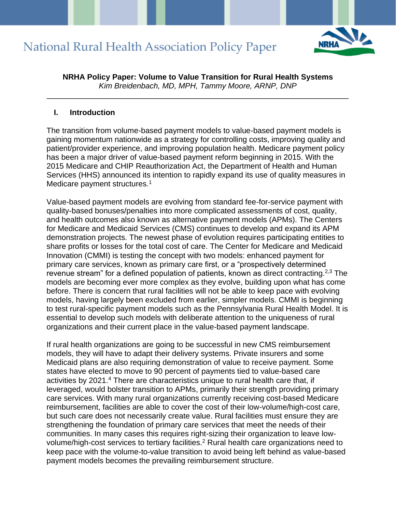

**NRHA Policy Paper: Volume to Value Transition for Rural Health Systems** *Kim Breidenbach, MD, MPH, Tammy Moore, ARNP, DNP*

\_\_\_\_\_\_\_\_\_\_\_\_\_\_\_\_\_\_\_\_\_\_\_\_\_\_\_\_\_\_\_\_\_\_\_\_\_\_\_\_\_\_\_\_\_\_\_\_\_\_\_\_\_\_\_\_\_\_\_\_\_\_\_\_\_\_\_\_\_\_

#### **I. Introduction**

The transition from volume-based payment models to value-based payment models is gaining momentum nationwide as a strategy for controlling costs, improving quality and patient/provider experience, and improving population health. Medicare payment policy has been a major driver of value-based payment reform beginning in 2015. With the 2015 Medicare and CHIP Reauthorization Act, the Department of Health and Human Services (HHS) announced its intention to rapidly expand its use of quality measures in Medicare payment structures.<sup>1</sup>

Value-based payment models are evolving from standard fee-for-service payment with quality-based bonuses/penalties into more complicated assessments of cost, quality, and health outcomes also known as alternative payment models (APMs). The Centers for Medicare and Medicaid Services (CMS) continues to develop and expand its APM demonstration projects. The newest phase of evolution requires participating entities to share profits or losses for the total cost of care. The Center for Medicare and Medicaid Innovation (CMMI) is testing the concept with two models: enhanced payment for primary care services, known as primary care first, or a "prospectively determined revenue stream" for a defined population of patients, known as direct contracting.<sup>2,3</sup> The models are becoming ever more complex as they evolve, building upon what has come before. There is concern that rural facilities will not be able to keep pace with evolving models, having largely been excluded from earlier, simpler models. CMMI is beginning to test rural-specific payment models such as the Pennsylvania Rural Health Model. It is essential to develop such models with deliberate attention to the uniqueness of rural organizations and their current place in the value-based payment landscape.

If rural health organizations are going to be successful in new CMS reimbursement models, they will have to adapt their delivery systems. Private insurers and some Medicaid plans are also requiring demonstration of value to receive payment. Some states have elected to move to 90 percent of payments tied to value-based care activities by 2021.<sup>4</sup> There are characteristics unique to rural health care that, if leveraged, would bolster transition to APMs, primarily their strength providing primary care services. With many rural organizations currently receiving cost-based Medicare reimbursement, facilities are able to cover the cost of their low-volume/high-cost care, but such care does not necessarily create value. Rural facilities must ensure they are strengthening the foundation of primary care services that meet the needs of their communities. In many cases this requires right-sizing their organization to leave lowvolume/high-cost services to tertiary facilities.<sup>2</sup> Rural health care organizations need to keep pace with the volume-to-value transition to avoid being left behind as value-based payment models becomes the prevailing reimbursement structure.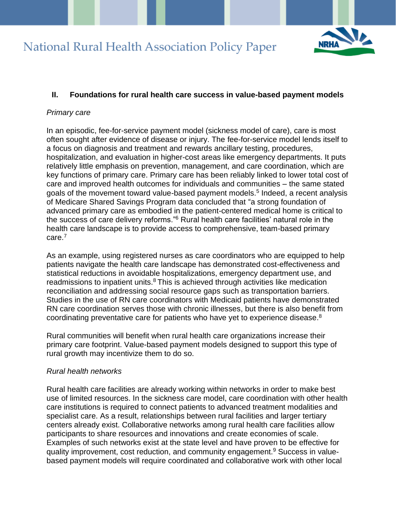

## **II. Foundations for rural health care success in value-based payment models**

### *Primary care*

In an episodic, fee-for-service payment model (sickness model of care), care is most often sought after evidence of disease or injury. The fee-for-service model lends itself to a focus on diagnosis and treatment and rewards ancillary testing, procedures, hospitalization, and evaluation in higher-cost areas like emergency departments. It puts relatively little emphasis on prevention, management, and care coordination, which are key functions of primary care. Primary care has been reliably linked to lower total cost of care and improved health outcomes for individuals and communities – the same stated goals of the movement toward value-based payment models.<sup>5</sup> Indeed, a recent analysis of Medicare Shared Savings Program data concluded that "a strong foundation of advanced primary care as embodied in the patient-centered medical home is critical to the success of care delivery reforms."<sup>6</sup> Rural health care facilities' natural role in the health care landscape is to provide access to comprehensive, team-based primary care.<sup>7</sup>

As an example, using registered nurses as care coordinators who are equipped to help patients navigate the health care landscape has demonstrated cost-effectiveness and statistical reductions in avoidable hospitalizations, emergency department use, and readmissions to inpatient units. $8$  This is achieved through activities like medication reconciliation and addressing social resource gaps such as transportation barriers. Studies in the use of RN care coordinators with Medicaid patients have demonstrated RN care coordination serves those with chronic illnesses, but there is also benefit from coordinating preventative care for patients who have yet to experience disease. 8

Rural communities will benefit when rural health care organizations increase their primary care footprint. Value-based payment models designed to support this type of rural growth may incentivize them to do so.

### *Rural health networks*

Rural health care facilities are already working within networks in order to make best use of limited resources. In the sickness care model, care coordination with other health care institutions is required to connect patients to advanced treatment modalities and specialist care. As a result, relationships between rural facilities and larger tertiary centers already exist. Collaborative networks among rural health care facilities allow participants to share resources and innovations and create economies of scale. Examples of such networks exist at the state level and have proven to be effective for quality improvement, cost reduction, and community engagement.<sup>9</sup> Success in valuebased payment models will require coordinated and collaborative work with other local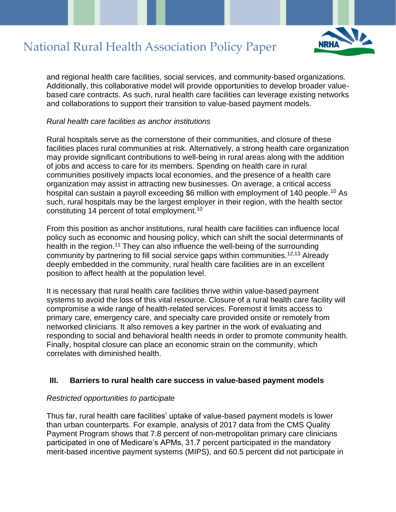

and regional health care facilities, social services, and community-based organizations. Additionally, this collaborative model will provide opportunities to develop broader valuebased care contracts. As such, rural health care facilities can leverage existing networks and collaborations to support their transition to value-based payment models.

### *Rural health care facilities as anchor institutions*

Rural hospitals serve as the cornerstone of their communities, and closure of these facilities places rural communities at risk. Alternatively, a strong health care organization may provide significant contributions to well-being in rural areas along with the addition of jobs and access to care for its members. Spending on health care in rural communities positively impacts local economies, and the presence of a health care organization may assist in attracting new businesses. On average, a critical access hospital can sustain a payroll exceeding \$6 million with employment of 140 people.<sup>10</sup> As such, rural hospitals may be the largest employer in their region, with the health sector constituting 14 percent of total employment.<sup>10</sup>

From this position as anchor institutions, rural health care facilities can influence local policy such as economic and housing policy, which can shift the social determinants of health in the region.<sup>11</sup> They can also influence the well-being of the surrounding community by partnering to fill social service gaps within communities.12,13 Already deeply embedded in the community, rural health care facilities are in an excellent position to affect health at the population level.

It is necessary that rural health care facilities thrive within value-based payment systems to avoid the loss of this vital resource. Closure of a rural health care facility will compromise a wide range of health-related services. Foremost it limits access to primary care, emergency care, and specialty care provided onsite or remotely from networked clinicians. It also removes a key partner in the work of evaluating and responding to social and behavioral health needs in order to promote community health. Finally, hospital closure can place an economic strain on the community, which correlates with diminished health.

### **III. Barriers to rural health care success in value-based payment models**

#### *Restricted opportunities to participate*

Thus far, rural health care facilities' uptake of value-based payment models is lower than urban counterparts. For example, analysis of 2017 data from the CMS Quality Payment Program shows that 7.8 percent of non-metropolitan primary care clinicians participated in one of Medicare's APMs, 31.7 percent participated in the mandatory merit-based incentive payment systems (MIPS), and 60.5 percent did not participate in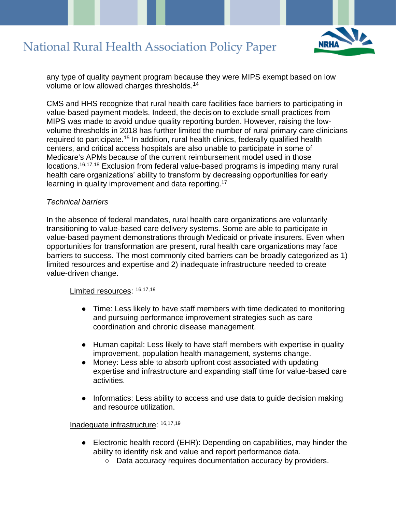

any type of quality payment program because they were MIPS exempt based on low volume or low allowed charges thresholds.<sup>14</sup>

CMS and HHS recognize that rural health care facilities face barriers to participating in value-based payment models. Indeed, the decision to exclude small practices from MIPS was made to avoid undue quality reporting burden. However, raising the lowvolume thresholds in 2018 has further limited the number of rural primary care clinicians required to participate.<sup>15</sup> In addition, rural health clinics, federally qualified health centers, and critical access hospitals are also unable to participate in some of Medicare's APMs because of the current reimbursement model used in those locations.<sup>16,17,18</sup> Exclusion from federal value-based programs is impeding many rural health care organizations' ability to transform by decreasing opportunities for early learning in quality improvement and data reporting.<sup>17</sup>

### *Technical barriers*

In the absence of federal mandates, rural health care organizations are voluntarily transitioning to value-based care delivery systems. Some are able to participate in value-based payment demonstrations through Medicaid or private insurers. Even when opportunities for transformation are present, rural health care organizations may face barriers to success. The most commonly cited barriers can be broadly categorized as 1) limited resources and expertise and 2) inadequate infrastructure needed to create value-driven change.

#### Limited resources:  $16,17,19$

- Time: Less likely to have staff members with time dedicated to monitoring and pursuing performance improvement strategies such as care coordination and chronic disease management.
- Human capital: Less likely to have staff members with expertise in quality improvement, population health management, systems change.
- Money: Less able to absorb upfront cost associated with updating expertise and infrastructure and expanding staff time for value-based care activities.
- Informatics: Less ability to access and use data to guide decision making and resource utilization.

#### Inadequate infrastructure: 16,17,19

- Electronic health record (EHR): Depending on capabilities, may hinder the ability to identify risk and value and report performance data.
	- Data accuracy requires documentation accuracy by providers.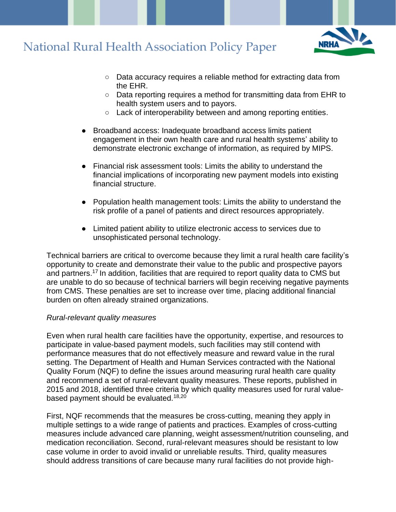

- Data accuracy requires a reliable method for extracting data from the EHR.
- Data reporting requires a method for transmitting data from EHR to health system users and to payors.
- Lack of interoperability between and among reporting entities.
- Broadband access: Inadequate broadband access limits patient engagement in their own health care and rural health systems' ability to demonstrate electronic exchange of information, as required by MIPS.
- Financial risk assessment tools: Limits the ability to understand the financial implications of incorporating new payment models into existing financial structure.
- Population health management tools: Limits the ability to understand the risk profile of a panel of patients and direct resources appropriately.
- Limited patient ability to utilize electronic access to services due to unsophisticated personal technology.

Technical barriers are critical to overcome because they limit a rural health care facility's opportunity to create and demonstrate their value to the public and prospective payors and partners.<sup>17</sup> In addition, facilities that are required to report quality data to CMS but are unable to do so because of technical barriers will begin receiving negative payments from CMS. These penalties are set to increase over time, placing additional financial burden on often already strained organizations.

### *Rural-relevant quality measures*

Even when rural health care facilities have the opportunity, expertise, and resources to participate in value-based payment models, such facilities may still contend with performance measures that do not effectively measure and reward value in the rural setting. The Department of Health and Human Services contracted with the National Quality Forum (NQF) to define the issues around measuring rural health care quality and recommend a set of rural-relevant quality measures. These reports, published in 2015 and 2018, identified three criteria by which quality measures used for rural valuebased payment should be evaluated.18,20

First, NQF recommends that the measures be cross-cutting, meaning they apply in multiple settings to a wide range of patients and practices. Examples of cross-cutting measures include advanced care planning, weight assessment/nutrition counseling, and medication reconciliation. Second, rural-relevant measures should be resistant to low case volume in order to avoid invalid or unreliable results. Third, quality measures should address transitions of care because many rural facilities do not provide high-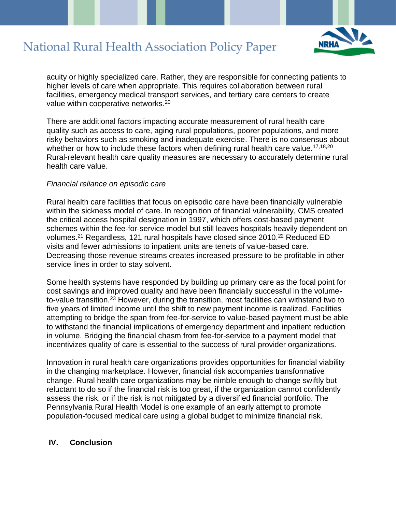

acuity or highly specialized care. Rather, they are responsible for connecting patients to higher levels of care when appropriate. This requires collaboration between rural facilities, emergency medical transport services, and tertiary care centers to create value within cooperative networks.<sup>20</sup>

There are additional factors impacting accurate measurement of rural health care quality such as access to care, aging rural populations, poorer populations, and more risky behaviors such as smoking and inadequate exercise. There is no consensus about whether or how to include these factors when defining rural health care value.<sup>17,18,20</sup> Rural-relevant health care quality measures are necessary to accurately determine rural health care value.

#### *Financial reliance on episodic care*

Rural health care facilities that focus on episodic care have been financially vulnerable within the sickness model of care. In recognition of financial vulnerability, CMS created the critical access hospital designation in 1997, which offers cost-based payment schemes within the fee-for-service model but still leaves hospitals heavily dependent on volumes.<sup>21</sup> Regardless, 121 rural hospitals have closed since 2010.<sup>22</sup> Reduced ED visits and fewer admissions to inpatient units are tenets of value-based care. Decreasing those revenue streams creates increased pressure to be profitable in other service lines in order to stay solvent.

Some health systems have responded by building up primary care as the focal point for cost savings and improved quality and have been financially successful in the volumeto-value transition.<sup>23</sup> However, during the transition, most facilities can withstand two to five years of limited income until the shift to new payment income is realized. Facilities attempting to bridge the span from fee-for-service to value-based payment must be able to withstand the financial implications of emergency department and inpatient reduction in volume. Bridging the financial chasm from fee-for-service to a payment model that incentivizes quality of care is essential to the success of rural provider organizations.

Innovation in rural health care organizations provides opportunities for financial viability in the changing marketplace. However, financial risk accompanies transformative change. Rural health care organizations may be nimble enough to change swiftly but reluctant to do so if the financial risk is too great, if the organization cannot confidently assess the risk, or if the risk is not mitigated by a diversified financial portfolio. The Pennsylvania Rural Health Model is one example of an early attempt to promote population-focused medical care using a global budget to minimize financial risk.

#### **IV. Conclusion**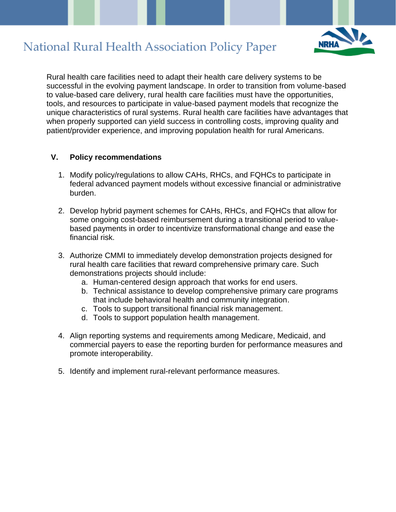

Rural health care facilities need to adapt their health care delivery systems to be successful in the evolving payment landscape. In order to transition from volume-based to value-based care delivery, rural health care facilities must have the opportunities, tools, and resources to participate in value-based payment models that recognize the unique characteristics of rural systems. Rural health care facilities have advantages that when properly supported can yield success in controlling costs, improving quality and patient/provider experience, and improving population health for rural Americans.

## **V. Policy recommendations**

- 1. Modify policy/regulations to allow CAHs, RHCs, and FQHCs to participate in federal advanced payment models without excessive financial or administrative burden.
- 2. Develop hybrid payment schemes for CAHs, RHCs, and FQHCs that allow for some ongoing cost-based reimbursement during a transitional period to valuebased payments in order to incentivize transformational change and ease the financial risk.
- 3. Authorize CMMI to immediately develop demonstration projects designed for rural health care facilities that reward comprehensive primary care. Such demonstrations projects should include:
	- a. Human-centered design approach that works for end users.
	- b. Technical assistance to develop comprehensive primary care programs that include behavioral health and community integration.
	- c. Tools to support transitional financial risk management.
	- d. Tools to support population health management.
- 4. Align reporting systems and requirements among Medicare, Medicaid, and commercial payers to ease the reporting burden for performance measures and promote interoperability.
- 5. Identify and implement rural-relevant performance measures.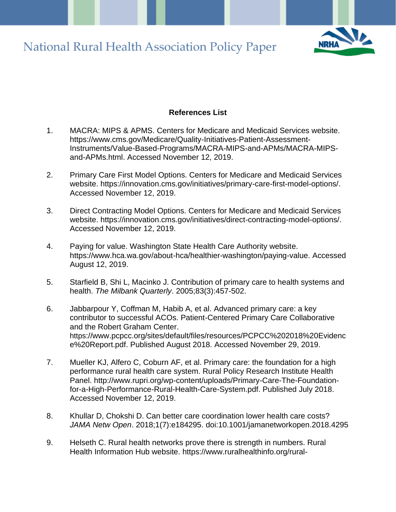

### **References List**

- 1. MACRA: MIPS & APMS. Centers for Medicare and Medicaid Services website. [https://www.cms.gov/Medicare/Quality-Initiatives-Patient-Assessment-](https://www.cms.gov/Medicare/Quality-Initiatives-Patient-Assessment-Instruments/Value-Based-Programs/MACRA-MIPS-and-APMs/MACRA-MIPS-and-APMs.html)[Instruments/Value-Based-Programs/MACRA-MIPS-and-APMs/MACRA-MIPS](https://www.cms.gov/Medicare/Quality-Initiatives-Patient-Assessment-Instruments/Value-Based-Programs/MACRA-MIPS-and-APMs/MACRA-MIPS-and-APMs.html)[and-APMs.html.](https://www.cms.gov/Medicare/Quality-Initiatives-Patient-Assessment-Instruments/Value-Based-Programs/MACRA-MIPS-and-APMs/MACRA-MIPS-and-APMs.html) Accessed November 12, 2019.
- 2. Primary Care First Model Options. Centers for Medicare and Medicaid Services website. [https://innovation.cms.gov/initiatives/primary-care-first-model-options/.](https://innovation.cms.gov/initiatives/primary-care-first-model-options/) Accessed November 12, 2019.
- 3. Direct Contracting Model Options. Centers for Medicare and Medicaid Services website. [https://innovation.cms.gov/initiatives/direct-contracting-model-options/.](https://innovation.cms.gov/initiatives/direct-contracting-model-options/) Accessed November 12, 2019.
- 4. Paying for value. Washington State Health Care Authority website. [https://www.hca.wa.gov/about-hca/healthier-washington/paying-value.](https://www.hca.wa.gov/about-hca/healthier-washington/paying-value) Accessed August 12, 2019.
- 5. Starfield B, Shi L, Macinko J. Contribution of primary care to health systems and health. *The Milbank Quarterly*. 2005;83(3):457-502.
- 6. Jabbarpour Y, Coffman M, Habib A, et al. Advanced primary care: a key contributor to successful ACOs. Patient-Centered Primary Care Collaborative and the Robert Graham Center. [https](https://www.pcpcc.org/sites/default/files/resources/PCPCC%202018%20Evidence%20Report.pdf)[://www.pcpcc.org/sites/default/files/resources/PCPCC%202018%20Evidenc](https://www.pcpcc.org/sites/default/files/resources/PCPCC%202018%20Evidence%20Report.pdf) [e%20Report.pdf.](https://www.pcpcc.org/sites/default/files/resources/PCPCC%202018%20Evidence%20Report.pdf) Published August 2018. Accessed November 29, 2019.
- 7. Mueller KJ, Alfero C, Coburn AF, et al. Primary care: the foundation for a high performance rural health care system. Rural Policy Research Institute Health Panel. http://www.rupri.org/wp-content/uploads/Primary-Care-The-Foundationfor-a-High-Performance-Rural-Health-Care-System.pdf. Published July 2018. Accessed November 12, 2019.
- 8. Khullar D, Chokshi D. Can better care coordination lower health care costs? *JAMA Netw Open*. 2018;1(7):e184295. doi:10.1001/jamanetworkopen.2018.4295
- 9. Helseth C. Rural health networks prove there is strength in numbers. Rural Health Information Hub website. [https://www.ruralhealthinfo.org/rural-](https://www.ruralhealthinfo.org/rural-monitor/rural-health-networks-strength-in-numbers/)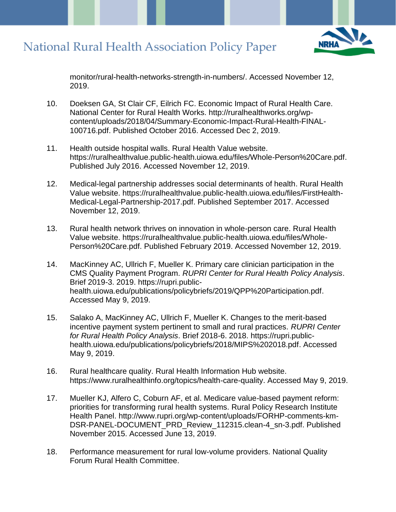

[monitor/rural-health-networks-strength-in-numbers/.](https://www.ruralhealthinfo.org/rural-monitor/rural-health-networks-strength-in-numbers/) Accessed November 12, 2019.

- 10. Doeksen GA, St Clair CF, Eilrich FC. Economic Impact of Rural Health Care. National Center for Rural Health Works. [http://ruralhealthworks.org/wp](http://ruralhealthworks.org/wp-content/uploads/2018/04/Summary-Economic-Impact-Rural-Health-FINAL-100716.pdf)[content/uploads/2018/04/Summary-Economic-Impact-Rural-Health-FINAL-](http://ruralhealthworks.org/wp-content/uploads/2018/04/Summary-Economic-Impact-Rural-Health-FINAL-100716.pdf)[100716.pdf.](http://ruralhealthworks.org/wp-content/uploads/2018/04/Summary-Economic-Impact-Rural-Health-FINAL-100716.pdf) Published October 2016. Accessed Dec 2, 2019.
- 11. [Health outside hospital walls.](https://ruralhealthvalue.public-health.uiowa.edu/files/Chadron-Health%20Outside%20Hospital%20Walls.pdf) Rural Health Value website. [https://ruralhealthvalue.public-health.uiowa.edu/files/Whole-Person%20Care.pdf.](https://ruralhealthvalue.public-health.uiowa.edu/files/Whole-Person%20Care.pdf) Published July 2016. Accessed November 12, 2019.
- 12. [Medical-legal partnership addresses social determinants of health.](https://ruralhealthvalue.public-health.uiowa.edu/files/FirstHealth-Medical-Legal-Partnership-2017.pdf) Rural Health Value website. [https://ruralhealthvalue.public-health.uiowa.edu/files/FirstHealth-](https://ruralhealthvalue.public-health.uiowa.edu/files/FirstHealth-Medical-Legal-Partnership-2017.pdf)[Medical-Legal-Partnership-2017.pdf.](https://ruralhealthvalue.public-health.uiowa.edu/files/FirstHealth-Medical-Legal-Partnership-2017.pdf) Published September 2017. Accessed November 12, 2019.
- 13. [Rural health network thrives on innovation in whole-person care.](https://ruralhealthvalue.public-health.uiowa.edu/files/Whole-Person%20Care.pdf) Rural Health Value website. [https://ruralhealthvalue.public-health.uiowa.edu/files/Whole-](https://ruralhealthvalue.public-health.uiowa.edu/files/Whole-Person%20Care.pdf)[Person%20Care.pdf.](https://ruralhealthvalue.public-health.uiowa.edu/files/Whole-Person%20Care.pdf) Published February 2019. Accessed November 12, 2019.
- 14. MacKinney AC, Ullrich F, Mueller K. Primary care clinician participation in the CMS Quality Payment Program. *RUPRI Center for Rural Health Policy Analysis*. Brief 2019-3. 2019. [https://rupri.public](https://rupri.public-health.uiowa.edu/publications/policybriefs/2019/QPP%20Participation.pdf)[health.uiowa.edu/publications/policybriefs/2019/QPP%20Participation.pdf.](https://rupri.public-health.uiowa.edu/publications/policybriefs/2019/QPP%20Participation.pdf) Accessed May 9, 2019.
- 15. Salako A, MacKinney AC, Ullrich F, Mueller K. Changes to the merit-based incentive payment system pertinent to small and rural practices. *RUPRI Center for Rural Health Policy Analysis*. Brief 2018-6. 2018. [https://rupri.public](https://rupri.public-health.uiowa.edu/publications/policybriefs/2018/MIPS%202018.pdf)[health.uiowa.edu/publications/policybriefs/2018/MIPS%202018.pdf.](https://rupri.public-health.uiowa.edu/publications/policybriefs/2018/MIPS%202018.pdf) Accessed May 9, 2019.
- 16. Rural healthcare quality. Rural Health Information Hub website. [https://www.ruralhealthinfo.org/topics/health-care-quality.](https://www.ruralhealthinfo.org/topics/health-care-quality) Accessed May 9, 2019.
- 17. Mueller KJ, Alfero C, Coburn AF, et al. Medicare value-based payment reform: priorities for transforming rural health systems. Rural Policy Research Institute Health Panel. [http://www.rupri.org/wp-content/uploads/FORHP-comments-km-](http://www.rupri.org/wp-content/uploads/FORHP-comments-km-DSR-PANEL-DOCUMENT_PRD_Review_112315.clean-4_sn-3.pdf)[DSR-PANEL-DOCUMENT\\_PRD\\_Review\\_112315.clean-4\\_sn-3.pdf.](http://www.rupri.org/wp-content/uploads/FORHP-comments-km-DSR-PANEL-DOCUMENT_PRD_Review_112315.clean-4_sn-3.pdf) Published November 2015. Accessed June 13, 2019.
- 18. Performance measurement for rural low-volume providers. National Quality Forum Rural Health Committee.